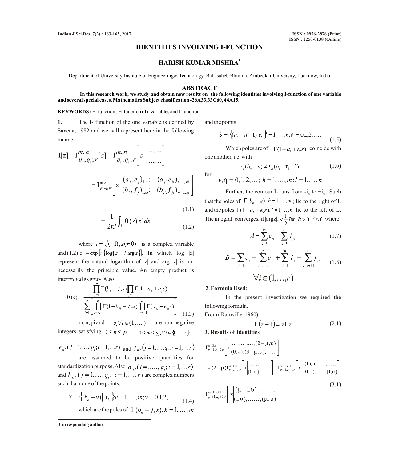# **IDENTITIES INVOLVING I-FUNCTION**

### **<sup>1</sup> HARISH KUMAR MISHRA**

Department of University Institute of Engineering& Technology, Babasaheb Bhimrao Ambedkar University, Lucknow, India

### **ABSTRACT**

### **In this research work, we study and obtain new results on the following identities involving I-function of one variable and several special cases. Mathematics Subject classification -26A33,33C60, 44A15.**

### **KEYWORDS :** H-function , H-function of r-variables and I-function

**1.** The I- function of the one variable is defined by Saxena, 1982 and we will represent here in the following manner

$$
I[z] = I_{p_i, q_i; r}^{m, n}[z] = I_{p_i, q_i; r}^{m, n}[z] \dots \dots
$$

$$
= I_{p_i, q_i; r}^{m, n}[z] \begin{bmatrix} (a_j, e_j)_{1, n}; & (a_{ji}, e_{ji})_{n+1, pi} \\ (b_j, f_j)_{1, m}; & (b_{ji}, f_{ji})_{m+1, qi} \end{bmatrix}
$$

$$
=\frac{1}{2\pi i}\int_{L}\Theta(s) z^{s} ds
$$
\n(1.1)\n  
\n(1.2)

where  $i = \sqrt{(-1)}$ ,  $z(\neq 0)$  is a complex variable and (1.2)  $z^s = \exp [s \{ \log |z| + i \arg z \}]$ . In which  $\log |z|$ represent the natural logarithm of |z| and arg |z| is not necessarily the principle value. An empty product is interpreted as unity. Also,

$$
\theta(s) = \frac{\prod_{j=1}^{n} \Gamma(b_j - f_j s) \prod_{j=1}^{n} \Gamma(1 - a_j + e_j s)}{\sum_{i=1}^{r} \left[ \prod_{j=m+1}^{q_i} \Gamma(1 - b_{ji} + f_{ji} s) \prod_{j=n+1}^{p_i} \Gamma(a_{ji} - e_{ji} s) \right]}
$$
(1.3)

m, n, pi and  $q_i \forall i \in (1, ..., r)$  are non-negative integers satisfying  $0 \le n \le p_i$ ,  $0 \le m \le q_i$ ;  $\forall i \in \{1, ..., r\}$ 

$$
e_{ji}
$$
,  $(j = 1,..., p_i; i = 1,...r)$  and  $f_{ji}$ ,  $(j = 1,..., q_i; i = 1,...r)$ 

are assumed to be positive quantities for standardization purpose. Also  $a_{ii}$ ,  $(j = 1, ..., p_i; i = 1, ..., r)$ and  $b_{ii}$ ,  $(j = 1, ..., q_i; i = 1, ..., r)$  are complex numbers such that none of the points.

$$
S = \{(b_n + v) | f_h\} h = 1, ..., m; v = 0, 1, 2, ...,
$$
  
which are the poles of  $\Gamma(b_h - f_h s), h = 1, ..., m$ 

**<sup>1</sup>Corresponding author**

and the points

$$
S = \{(a_i - n - 1) | e_i \} = 1, \dots, n; \eta = 0, 1, 2, \dots,
$$
 (1.5)

Which poles are of  $\Gamma(1-a_1 + e_1 s)$  coincide with one another, i.e. with

$$
e_i(b_n + v) \neq b_n(a_i - \eta - 1) \tag{1.6}
$$

for 
$$
v, \eta = 0, 1, 2, ...; h = 1, ..., m; l = 1, ..., n
$$

Further, the contour L runs from  $-i_{\infty}$  to  $+i_{\infty}$ . Such that the poles of  $\Gamma(b_n - s)$ ,  $h = 1,...,m$ ; lie to the right of L and the poles  $\Gamma(1-a_1 + e_1 s)$ ,  $l = 1,...,n$  lie to the left of L. The integral converges, if  $|\text{arg} z|, \langle \frac{1}{2} B\pi, B \rangle 0, A \leq 0$  where

$$
A = \sum_{j=1}^{p_i} e_{ji} - \sum_{j=1}^{q_i} f_{ji}
$$
 (1.7)

$$
B = \sum_{j=1}^{n} e_j - \sum_{j=n+1}^{p_i} e_{ji} + \sum_{j=1}^{m} f_j - \sum_{j=m+1}^{q_i} f_{ji}
$$
  

$$
\forall i \in (1, ..., r)
$$
 (1.8)

## **2. Formula Used:**

In the present investigation we required the following formula.

From ( Rainville ,1960) .

$$
\Gamma(z+1) = z\Gamma z \tag{2.1}
$$

### **3. Results of Identities**

(3.1)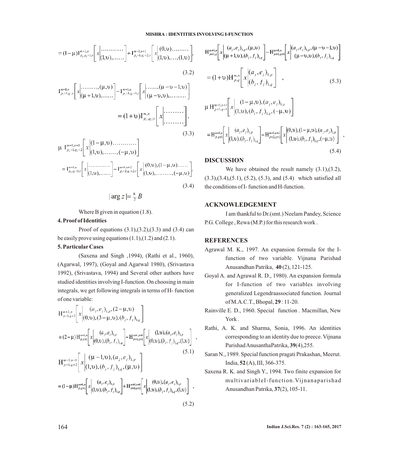#### **MISHRA : IDENTITIES INVOLVING I-FUNCTION**

$$
= (1 - \mu) I_{p_i, q_i + 1,r}^{m+1, n} \left[ x \Big| \begin{matrix} \dots \dots \dots \dots \dots \end{matrix} \Big| + I_{p_i + 1, q_i + 2;r}^{m+1, n+1} \left[ x \Big| (0, v) \dots \dots \dots \Big| \right],
$$
\n(3.2)\n
$$
I_{p_i + 1, q_i; r}^{m+1, n} \left[ x \Big| \begin{matrix} \dots \dots \dots \big| ( \mu, v ) \end{matrix} \right] - I_{p_i + 1, q_i + 1; r}^{m+1, n} \left[ x \Big| \begin{matrix} \dots \dots \big| ( \mu - v, v ) \end{matrix} \right],
$$
\n
$$
= (1 + v) I_{p_i, q_i; r}^{m, n} \left[ x \Big| \begin{matrix} \dots \dots \dots \dots \end{matrix} \right].
$$
\n(3.3)\n
$$
\mu I_{p_i + 1, q_i + 2}^{m+1, n+1} \left[ x \Big| (1 - \mu, v) \dots \dots \big| \right].
$$
\n(3.3)

(3.4) 

Where B given in equation (1.8).

### **4. Proof of Identities**

Proof of equations  $(3.1),(3.2),(3.3)$  and  $(3.4)$  can be easily prove using equations  $(1.1)$ , $(1.2)$  and  $(2.1)$ .

# **5. ParticularCases**

(Saxena and Singh ,1994), (Rathi et al., 1960), (Agarwal, 1997), (Goyal and Agarwal 1980), (Srivastava 1992), (Srivastava, 1994) and Several other authors have studied identities involving I-function. On choosing in main integrals, we get following integrals in terms of H- function of one variable:

$$
H_{p+1,q+2}^{m+2,n} \left[ x \middle| \begin{array}{l} (a_j, e_j)_{1,p}, (2-\mu, v) \\ (0, v), (3-\mu, v), (b_j, f_j)_{1,q} \end{array} \right]
$$
  
\n=  $(2-\mu) H_{p,q+1}^{m+1,n} \left[ x \middle| \begin{array}{l} (a_j, e_j)_{1,p} \\ (0, v), (b_j, f_j)_{1,q} \end{array} \right] - H_{p+1,q+1}^{m+1,n+1} \left[ x \middle| \begin{array}{l} (1, v), (a_j, e_j)_{1,p} \\ (0, v), (b_j, f_j)_{1,q}, (1, v) \end{array} \right] ,$   
\n
$$
H_{p+1,q+2}^{m+1,n+1} \left[ x \middle| \begin{array}{l} ( \mu -1, v), (a_j, e_j)_{1,p} \\ (1, v), (b_j, f_j)_{1,q}, ( \mu, v) \end{array} \right]
$$
  
\n=  $(1-\mu) H_{p,q+1}^{m+1,n} \left[ x \middle| \begin{array}{l} (a_j, e_j)_{1,p} \\ (1, v), (b_j, f_j)_{1,q} \end{array} \right] + H_{p+1,q+2}^{m+1,n+1} \left[ x \middle| \begin{array}{l} (0, v), (a_j, e_j)_{1,p} \\ (1, v), (b_j, f_j)_{1,q}, (1, v) \end{array} \right] ,$   
\n(5.2)

$$
H_{p+l,q}^{m+l,n} \left[ x \Big|_{(\mu+1,\nu),(\beta_j,f_j)_{l,q}}^{(a_j,e_j)_{l,p},(\mu,\nu)} \right] - H_{p+l,q+l}^{m+l,n} \left[ x \Big|_{(\mu-v,\nu),(\beta_j,f_j)_{l,q}}^{(a_j,e_j)_{l,p},(\mu-v-1,\nu)} \right]
$$
  
\n
$$
= (1+\nu) H_{p,q}^{m,n} \left[ x \Big|_{(\beta_j,f_j)_{l,q}}^{(a_j,e_j)_{l,p}} \right], \qquad (5.3)
$$
  
\n
$$
\mu H_{p+l,q+l}^{m+l,n+l} \left[ x \Big|_{(1,\nu),(\beta_j,f_j)_{l,q},(-\mu,\nu)} \right]
$$

$$
=H_{p,q+1}^{m+1,n}\left[x\left| \begin{array}{c} (a_j,e_j)_{1,p} \\ (1,\mathfrak{v}), (b_j,f_j)_{1,q} \end{array} \right] - H_{p+2,q+2}^{m+1,n+2}\left[x\left| \begin{array}{c} (0,\mathfrak{v}), (1-\mu,\mathfrak{v}), (a_j,e_j)_{1,p} \\ (1,\mathfrak{v}), (b_j,f_j)_{1,q}, (-\mu,\mathfrak{v}) \end{array} \right| \right. \tag{5.4}
$$

### **DISCUSSION**

We have obtained the result namely  $(3.1)$ , $(3.2)$ , (3.3),(3.4),(5.1), (5.2), (5.3), and (5.4) which satisfied all the conditions of I- function and H-function.

# **ACKNOWLEDGEMENT**

I am thankful to Dr.(smt.) Neelam Pandey, Science P.G. College , Rewa (M.P.) for this research work .

# **REFERENCES**

- Agrawal M. K., 1997. An expansion formula for the Ifunction of two variable. Vijnana Parishad Anusandhan Patrika, **40** (2), 121-125.
- Goyal A. and Agrawal R. D., 1980). An expansion formula for I-function of two variables involving generalized Legendraassociated function. Journal of M.A.C.T., Bhopal, **29** : 11-20.
- Rainville E. D., 1960. Special function . Macmillan, New York .
- Rathi, A. K. and Sharma, Sonia, 1996. An identities corresponding to an identity due to preece. Vijnana Parishad AnusanthaPatrika, **39**(4),255.
- Saran N., 1989. Special function pragati Prakashan, Meerut. India, **52** (A), III, 366-375.
- Saxena R. K. and Singh Y., 1994. Two finite expansion for multivariableI-function.Vijnanaparishad Anusandhan Patrika, **37**(2), 105-11.